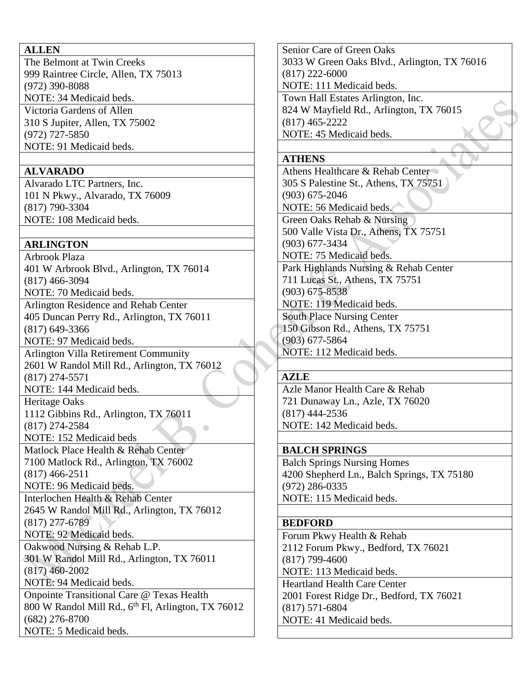### **ALLEN**

The Belmont at Twin Creeks 999 Raintree Circle, Allen, TX 75013 (972) 390-8088 NOTE: 34 Medicaid beds. Victoria Gardens of Allen 310 S Jupiter, Allen, TX 75002 (972) 727-5850 NOTE: 91 Medicaid beds.

## **ALVARADO**

Alvarado LTC Partners, Inc. 101 N Pkwy., Alvarado, TX 76009 (817) 790-3304 NOTE: 108 Medicaid beds.

## **ARLINGTON**

Arbrook Plaza 401 W Arbrook Blvd., Arlington, TX 76014 (817) 466-3094 NOTE: 70 Medicaid beds. Arlington Residence and Rehab Center 405 Duncan Perry Rd., Arlington, TX 76011 (817) 649-3366 NOTE: 97 Medicaid beds. Arlington Villa Retirement Community 2601 W Randol Mill Rd., Arlington, TX 76012 (817) 274-5571 NOTE: 144 Medicaid beds. Heritage Oaks 1112 Gibbins Rd., Arlington, TX 76011 (817) 274-2584 NOTE: 152 Medicaid beds Matlock Place Health & Rehab Center 7100 Matlock Rd., Arlington, TX 76002 (817) 466-2511 NOTE: 96 Medicaid beds. Interlochen Health & Rehab Center 2645 W Randol Mill Rd., Arlington, TX 76012 (817) 277-6789 NOTE: 92 Medicaid beds. Oakwood Nursing & Rehab L.P. 301 W Randol Mill Rd., Arlington, TX 76011

(817) 460-2002 NOTE: 94 Medicaid beds.

Onpointe Transitional Care @ Texas Health  $800$  W Randol Mill Rd.,  $6<sup>th</sup>$  Fl, Arlington, TX 76012 (682) 276-8700 NOTE: 5 Medicaid beds.

Senior Care of Green Oaks 3033 W Green Oaks Blvd., Arlington, TX 76016 (817) 222-6000 NOTE: 111 Medicaid beds. Town Hall Estates Arlington, Inc. 824 W Mayfield Rd., Arlington, TX 76015 (817) 465-2222

NOTE: 45 Medicaid beds.

# **ATHENS**

Athens Healthcare & Rehab Center 305 S Palestine St., Athens, TX 75751 (903) 675-2046 NOTE: 56 Medicaid beds.

Green Oaks Rehab & Nursing

500 Valle Vista Dr., Athens, TX 75751 (903) 677-3434

NOTE: 75 Medicaid beds.

Park Highlands Nursing & Rehab Center 711 Lucas St., Athens, TX 75751 (903) 675-8538 NOTE: 119 Medicaid beds.

South Place Nursing Center 150 Gibson Rd., Athens, TX 75751 (903) 677-5864

NOTE: 112 Medicaid beds.

# **AZLE**

Azle Manor Health Care & Rehab 721 Dunaway Ln., Azle, TX 76020 (817) 444-2536 NOTE: 142 Medicaid beds.

# **BALCH SPRINGS**

Balch Springs Nursing Homes 4200 Shepherd Ln., Balch Springs, TX 75180 (972) 286-0335 NOTE: 115 Medicaid beds.

## **BEDFORD**

Forum Pkwy Health & Rehab 2112 Forum Pkwy., Bedford, TX 76021 (817) 799-4600 NOTE: 113 Medicaid beds. Heartland Health Care Center 2001 Forest Ridge Dr., Bedford, TX 76021 (817) 571-6804 NOTE: 41 Medicaid beds.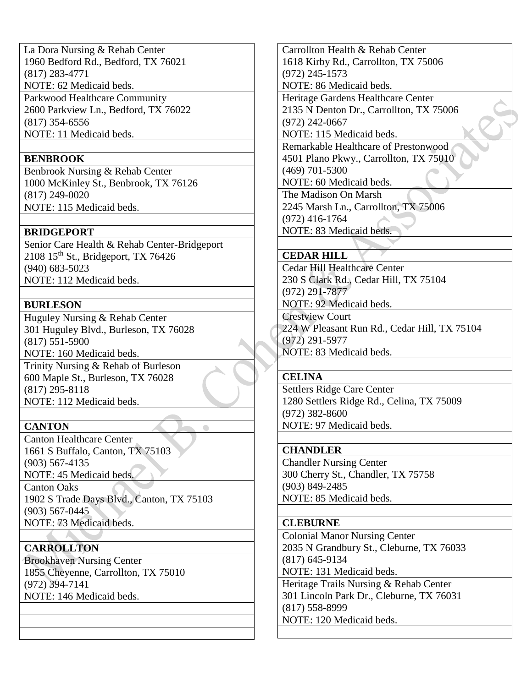La Dora Nursing & Rehab Center 1960 Bedford Rd., Bedford, TX 76021 (817) 283-4771 NOTE: 62 Medicaid beds. Parkwood Healthcare Community 2600 Parkview Ln., Bedford, TX 76022 (817) 354-6556 NOTE: 11 Medicaid beds.

### **BENBROOK**

Benbrook Nursing & Rehab Center 1000 McKinley St., Benbrook, TX 76126 (817) 249-0020 NOTE: 115 Medicaid beds.

### **BRIDGEPORT**

Senior Care Health & Rehab Center-Bridgeport 2108 15<sup>th</sup> St., Bridgeport, TX 76426 (940) 683-5023 NOTE: 112 Medicaid beds.

### **BURLESON**

Huguley Nursing & Rehab Center 301 Huguley Blvd., Burleson, TX 76028 (817) 551-5900 NOTE: 160 Medicaid beds. Trinity Nursing & Rehab of Burleson 600 Maple St., Burleson, TX 76028 (817) 295-8118

NOTE: 112 Medicaid beds.

## **CANTON**

Canton Healthcare Center 1661 S Buffalo, Canton, TX 75103 (903) 567-4135 NOTE: 45 Medicaid beds.

Canton Oaks 1902 S Trade Days Blvd., Canton, TX 75103 (903) 567-0445 NOTE: 73 Medicaid beds.

 $\bullet$ 

## **CARROLLTON**

Brookhaven Nursing Center 1855 Cheyenne, Carrollton, TX 75010 (972) 394-7141 NOTE: 146 Medicaid beds.

Carrollton Health & Rehab Center 1618 Kirby Rd., Carrollton, TX 75006 (972) 245-1573

NOTE: 86 Medicaid beds.

Heritage Gardens Healthcare Center

2135 N Denton Dr., Carrollton, TX 75006

(972) 242-0667

NOTE: 115 Medicaid beds. Remarkable Healthcare of Prestonwood 4501 Plano Pkwy., Carrollton, TX 75010 (469) 701-5300 NOTE: 60 Medicaid beds.

The Madison On Marsh 2245 Marsh Ln., Carrollton, TX 75006 (972) 416-1764

NOTE: 83 Medicaid beds.

## **CEDAR HILL**

Cedar Hill Healthcare Center 230 S Clark Rd., Cedar Hill, TX 75104 (972) 291-7877 NOTE: 92 Medicaid beds.

Crestview Court 224 W Pleasant Run Rd., Cedar Hill, TX 75104 (972) 291-5977 NOTE: 83 Medicaid beds.

### **CELINA**

Settlers Ridge Care Center 1280 Settlers Ridge Rd., Celina, TX 75009 (972) 382-8600 NOTE: 97 Medicaid beds.

### **CHANDLER**

Chandler Nursing Center 300 Cherry St., Chandler, TX 75758 (903) 849-2485 NOTE: 85 Medicaid beds.

## **CLEBURNE**

Colonial Manor Nursing Center 2035 N Grandbury St., Cleburne, TX 76033 (817) 645-9134 NOTE: 131 Medicaid beds. Heritage Trails Nursing & Rehab Center 301 Lincoln Park Dr., Cleburne, TX 76031 (817) 558-8999 NOTE: 120 Medicaid beds.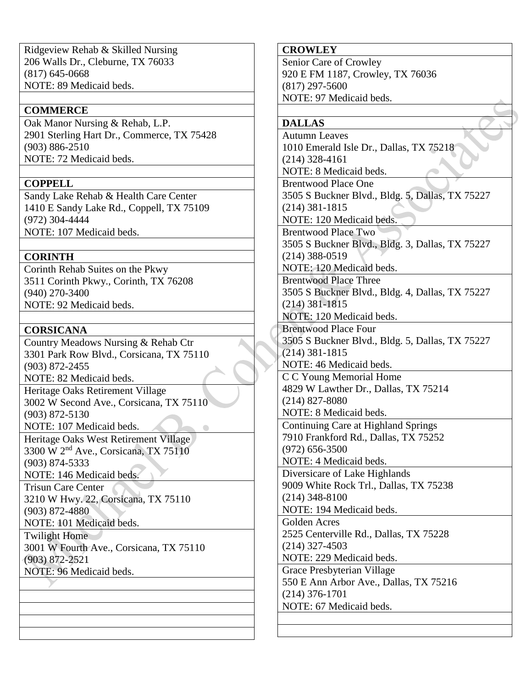Ridgeview Rehab & Skilled Nursing 206 Walls Dr., Cleburne, TX 76033 (817) 645-0668 NOTE: 89 Medicaid beds.

### **COMMERCE**

Oak Manor Nursing & Rehab, L.P. 2901 Sterling Hart Dr., Commerce, TX 75428 (903) 886-2510 NOTE: 72 Medicaid beds.

### **COPPELL**

Sandy Lake Rehab & Health Care Center 1410 E Sandy Lake Rd., Coppell, TX 75109 (972) 304-4444 NOTE: 107 Medicaid beds.

### **CORINTH**

Corinth Rehab Suites on the Pkwy 3511 Corinth Pkwy., Corinth, TX 76208 (940) 270-3400 NOTE: 92 Medicaid beds.

### **CORSICANA**

Country Meadows Nursing & Rehab Ctr 3301 Park Row Blvd., Corsicana, TX 75110 (903) 872-2455 NOTE: 82 Medicaid beds. Heritage Oaks Retirement Village 3002 W Second Ave., Corsicana, TX 75110 (903) 872-5130 NOTE: 107 Medicaid beds.  $\sim$ Heritage Oaks West Retirement Village 3300 W 2nd Ave., Corsicana, TX 75110 (903) 874-5333 NOTE: 146 Medicaid beds. Trisun Care Center

3210 W Hwy. 22, Corsicana, TX 75110 (903) 872-4880

NOTE: 101 Medicaid beds.

Twilight Home 3001 W Fourth Ave., Corsicana, TX 75110 (903) 872-2521

NOTE: 96 Medicaid beds.

## **CROWLEY**

Senior Care of Crowley 920 E FM 1187, Crowley, TX 76036 (817) 297-5600 NOTE: 97 Medicaid beds.

### **DALLAS**

Autumn Leaves 1010 Emerald Isle Dr., Dallas, TX 75218 (214) 328-4161 NOTE: 8 Medicaid beds. Brentwood Place One 3505 S Buckner Blvd., Bldg. 5, Dallas, TX 75227 (214) 381-1815 NOTE: 120 Medicaid beds. Brentwood Place Two 3505 S Buckner Blvd., Bldg. 3, Dallas, TX 75227 (214) 388-0519 NOTE: 120 Medicaid beds. Brentwood Place Three 3505 S Buckner Blvd., Bldg. 4, Dallas, TX 75227 (214) 381-1815 NOTE: 120 Medicaid beds. Brentwood Place Four 3505 S Buckner Blvd., Bldg. 5, Dallas, TX 75227 (214) 381-1815 NOTE: 46 Medicaid beds. C C Young Memorial Home 4829 W Lawther Dr., Dallas, TX 75214 (214) 827-8080 NOTE: 8 Medicaid beds. Continuing Care at Highland Springs 7910 Frankford Rd., Dallas, TX 75252 (972) 656-3500 NOTE: 4 Medicaid beds. Diversicare of Lake Highlands 9009 White Rock Trl., Dallas, TX 75238 (214) 348-8100 NOTE: 194 Medicaid beds. Golden Acres 2525 Centerville Rd., Dallas, TX 75228 (214) 327-4503 NOTE: 229 Medicaid beds. Grace Presbyterian Village 550 E Ann Arbor Ave., Dallas, TX 75216 (214) 376-1701 NOTE: 67 Medicaid beds.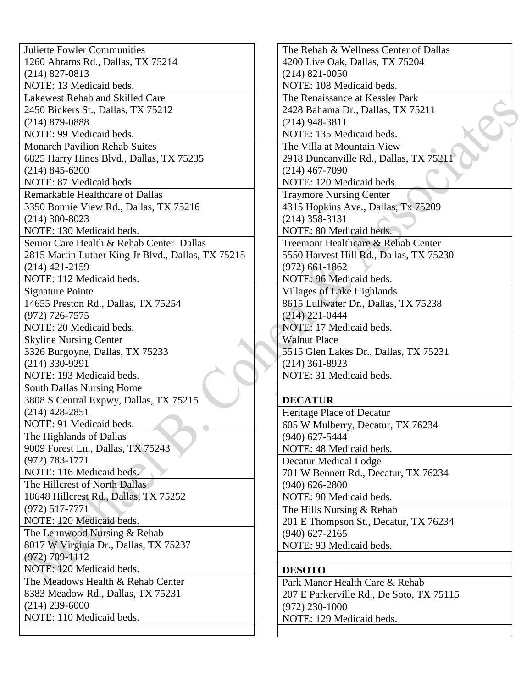Juliette Fowler Communities 1260 Abrams Rd., Dallas, TX 75214 (214) 827-0813 NOTE: 13 Medicaid beds. Lakewest Rehab and Skilled Care 2450 Bickers St., Dallas, TX 75212 (214) 879-0888 NOTE: 99 Medicaid beds. Monarch Pavilion Rehab Suites 6825 Harry Hines Blvd., Dallas, TX 75235 (214) 845-6200 NOTE: 87 Medicaid beds. Remarkable Healthcare of Dallas 3350 Bonnie View Rd., Dallas, TX 75216 (214) 300-8023 NOTE: 130 Medicaid beds. Senior Care Health & Rehab Center–Dallas 2815 Martin Luther King Jr Blvd., Dallas, TX 75215 (214) 421-2159 NOTE: 112 Medicaid beds. Signature Pointe 14655 Preston Rd., Dallas, TX 75254 (972) 726-7575 NOTE: 20 Medicaid beds. Skyline Nursing Center 3326 Burgoyne, Dallas, TX 75233 (214) 330-9291 NOTE: 193 Medicaid beds. South Dallas Nursing Home 3808 S Central Expwy, Dallas, TX 75215 (214) 428-2851 NOTE: 91 Medicaid beds. The Highlands of Dallas 9009 Forest Ln., Dallas, TX 75243 (972) 783-1771 NOTE: 116 Medicaid beds. The Hillcrest of North Dallas 18648 Hillcrest Rd., Dallas, TX 75252 (972) 517-7771 NOTE: 120 Medicaid beds. The Lennwood Nursing & Rehab 8017 W Virginia Dr., Dallas, TX 75237 (972) 709-1112 NOTE: 120 Medicaid beds. The Meadows Health & Rehab Center 8383 Meadow Rd., Dallas, TX 75231 (214) 239-6000 NOTE: 110 Medicaid beds.

The Rehab & Wellness Center of Dallas 4200 Live Oak, Dallas, TX 75204 (214) 821-0050 NOTE: 108 Medicaid beds. The Renaissance at Kessler Park 2428 Bahama Dr., Dallas, TX 75211 (214) 948-3811 NOTE: 135 Medicaid beds. The Villa at Mountain View 2918 Duncanville Rd., Dallas, TX 75211 (214) 467-7090 NOTE: 120 Medicaid beds. Traymore Nursing Center 4315 Hopkins Ave., Dallas, Tx 75209 (214) 358-3131 NOTE: 80 Medicaid beds. Treemont Healthcare & Rehab Center 5550 Harvest Hill Rd., Dallas, TX 75230 (972) 661-1862 NOTE: 96 Medicaid beds. Villages of Lake Highlands 8615 Lullwater Dr., Dallas, TX 75238 (214) 221-0444 NOTE: 17 Medicaid beds. Walnut Place 5515 Glen Lakes Dr., Dallas, TX 75231 (214) 361-8923 NOTE: 31 Medicaid beds. **DECATUR** Heritage Place of Decatur 605 W Mulberry, Decatur, TX 76234 (940) 627-5444 NOTE: 48 Medicaid beds. Decatur Medical Lodge 701 W Bennett Rd., Decatur, TX 76234 (940) 626-2800 NOTE: 90 Medicaid beds. The Hills Nursing & Rehab 201 E Thompson St., Decatur, TX 76234 (940) 627-2165 NOTE: 93 Medicaid beds. **DESOTO** Park Manor Health Care & Rehab

207 E Parkerville Rd., De Soto, TX 75115 (972) 230-1000 NOTE: 129 Medicaid beds.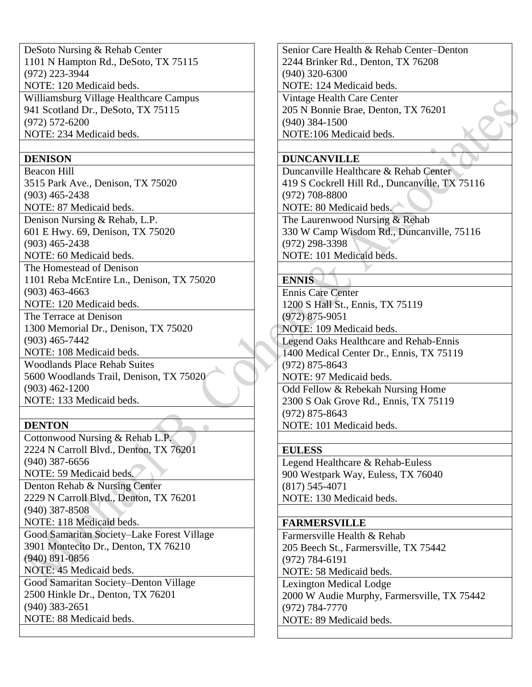DeSoto Nursing & Rehab Center 1101 N Hampton Rd., DeSoto, TX 75115 (972) 223-3944 NOTE: 120 Medicaid beds. Williamsburg Village Healthcare Campus 941 Scotland Dr., DeSoto, TX 75115 (972) 572-6200 NOTE: 234 Medicaid beds.

### **DENISON**

Beacon Hill 3515 Park Ave., Denison, TX 75020 (903) 465-2438 NOTE: 87 Medicaid beds. Denison Nursing & Rehab, L.P. 601 E Hwy. 69, Denison, TX 75020 (903) 465-2438 NOTE: 60 Medicaid beds. The Homestead of Denison 1101 Reba McEntire Ln., Denison, TX 75020 (903) 463-4663 NOTE: 120 Medicaid beds. The Terrace at Denison 1300 Memorial Dr., Denison, TX 75020 (903) 465-7442 NOTE: 108 Medicaid beds. Woodlands Place Rehab Suites 5600 Woodlands Trail, Denison, TX 75020 (903) 462-1200 NOTE: 133 Medicaid beds.

## **DENTON**

Cottonwood Nursing & Rehab L.P. 2224 N Carroll Blvd., Denton, TX 76201 (940) 387-6656 NOTE: 59 Medicaid beds.

Denton Rehab & Nursing Center 2229 N Carroll Blvd., Denton, TX 76201 (940) 387-8508

NOTE: 118 Medicaid beds.

Good Samaritan Society–Lake Forest Village 3901 Montecito Dr., Denton, TX 76210 (940) 891-0856 NOTE: 45 Medicaid beds.

Good Samaritan Society–Denton Village 2500 Hinkle Dr., Denton, TX 76201 (940) 383-2651 NOTE: 88 Medicaid beds.

Senior Care Health & Rehab Center–Denton 2244 Brinker Rd., Denton, TX 76208 (940) 320-6300 NOTE: 124 Medicaid beds. Vintage Health Care Center

205 N Bonnie Brae, Denton, TX 76201 (940) 384-1500 NOTE:106 Medicaid beds.

## **DUNCANVILLE**

Duncanville Healthcare & Rehab Center 419 S Cockrell Hill Rd., Duncanville, TX 75116 (972) 708-8800

NOTE: 80 Medicaid beds.

The Laurenwood Nursing & Rehab 330 W Camp Wisdom Rd., Duncanville, 75116 (972) 298-3398 NOTE: 101 Medicaid beds.

## **ENNIS**

Ennis Care Center 1200 S Hall St., Ennis, TX 75119 (972) 875-9051 NOTE: 109 Medicaid beds.

Legend Oaks Healthcare and Rehab-Ennis 1400 Medical Center Dr., Ennis, TX 75119 (972) 875-8643 NOTE: 97 Medicaid beds. Odd Fellow & Rebekah Nursing Home 2300 S Oak Grove Rd., Ennis, TX 75119 (972) 875-8643

NOTE: 101 Medicaid beds.

## **EULESS**

Legend Healthcare & Rehab-Euless 900 Westpark Way, Euless, TX 76040 (817) 545-4071 NOTE: 130 Medicaid beds.

## **FARMERSVILLE**

Farmersville Health & Rehab 205 Beech St., Farmersville, TX 75442 (972) 784-6191 NOTE: 58 Medicaid beds. Lexington Medical Lodge 2000 W Audie Murphy, Farmersville, TX 75442 (972) 784-7770 NOTE: 89 Medicaid beds.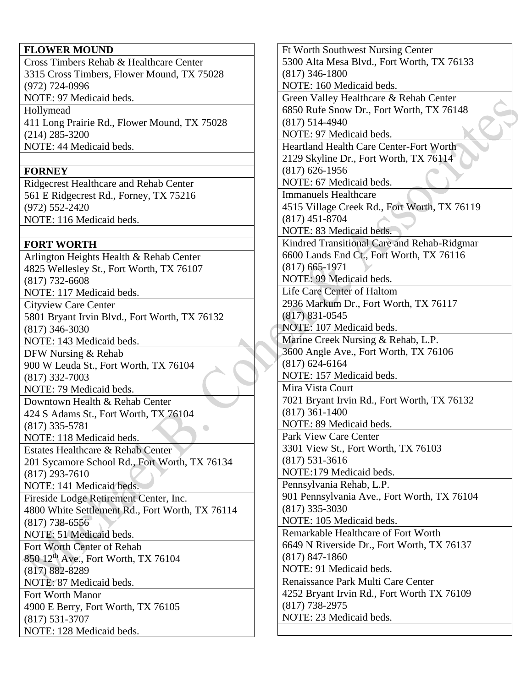### **FLOWER MOUND**

Cross Timbers Rehab & Healthcare Center 3315 Cross Timbers, Flower Mound, TX 75028 (972) 724-0996 NOTE: 97 Medicaid beds.

Hollymead 411 Long Prairie Rd., Flower Mound, TX 75028 (214) 285-3200 NOTE: 44 Medicaid beds.

## **FORNEY**

Ridgecrest Healthcare and Rehab Center 561 E Ridgecrest Rd., Forney, TX 75216 (972) 552-2420 NOTE: 116 Medicaid beds.

# **FORT WORTH**

Arlington Heights Health & Rehab Center 4825 Wellesley St., Fort Worth, TX 76107 (817) 732-6608 NOTE: 117 Medicaid beds. Cityview Care Center 5801 Bryant Irvin Blvd., Fort Worth, TX 76132 (817) 346-3030 NOTE: 143 Medicaid beds. DFW Nursing & Rehab 900 W Leuda St., Fort Worth, TX 76104 (817) 332-7003 NOTE: 79 Medicaid beds. Downtown Health & Rehab Center 424 S Adams St., Fort Worth, TX 76104 (817) 335-5781 NOTE: 118 Medicaid beds. Estates Healthcare & Rehab Center 201 Sycamore School Rd., Fort Worth, TX 76134 (817) 293-7610 NOTE: 141 Medicaid beds. Fireside Lodge Retirement Center, Inc. 4800 White Settlement Rd., Fort Worth, TX 76114 (817) 738-6556 NOTE: 51 Medicaid beds. Fort Worth Center of Rehab 850 12th Ave., Fort Worth, TX 76104 (817) 882-8289 NOTE: 87 Medicaid beds. Fort Worth Manor 4900 E Berry, Fort Worth, TX 76105 (817) 531-3707 NOTE: 128 Medicaid beds.

Ft Worth Southwest Nursing Center 5300 Alta Mesa Blvd., Fort Worth, TX 76133 (817) 346-1800 NOTE: 160 Medicaid beds. Green Valley Healthcare & Rehab Center 6850 Rufe Snow Dr., Fort Worth, TX 76148 (817) 514-4940 NOTE: 97 Medicaid beds. Heartland Health Care Center-Fort Worth 2129 Skyline Dr., Fort Worth, TX 76114 (817) 626-1956 NOTE: 67 Medicaid beds. Immanuels Healthcare 4515 Village Creek Rd., Fort Worth, TX 76119 (817) 451-8704 NOTE: 83 Medicaid beds. Kindred Transitional Care and Rehab-Ridgmar 6600 Lands End Ct., Fort Worth, TX 76116 (817) 665-1971 NOTE: 99 Medicaid beds. Life Care Center of Haltom 2936 Markum Dr., Fort Worth, TX 76117 (817) 831-0545 NOTE: 107 Medicaid beds. Marine Creek Nursing & Rehab, L.P. 3600 Angle Ave., Fort Worth, TX 76106 (817) 624-6164 NOTE: 157 Medicaid beds. Mira Vista Court 7021 Bryant Irvin Rd., Fort Worth, TX 76132 (817) 361-1400 NOTE: 89 Medicaid beds. Park View Care Center 3301 View St., Fort Worth, TX 76103 (817) 531-3616 NOTE:179 Medicaid beds. Pennsylvania Rehab, L.P. 901 Pennsylvania Ave., Fort Worth, TX 76104 (817) 335-3030 NOTE: 105 Medicaid beds. Remarkable Healthcare of Fort Worth 6649 N Riverside Dr., Fort Worth, TX 76137 (817) 847-1860 NOTE: 91 Medicaid beds. Renaissance Park Multi Care Center 4252 Bryant Irvin Rd., Fort Worth TX 76109 (817) 738-2975 NOTE: 23 Medicaid beds.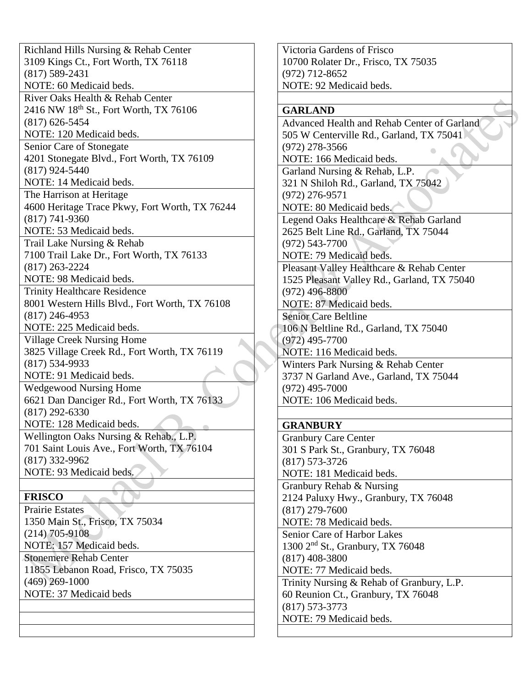Richland Hills Nursing & Rehab Center 3109 Kings Ct., Fort Worth, TX 76118 (817) 589-2431 NOTE: 60 Medicaid beds. River Oaks Health & Rehab Center 2416 NW 18<sup>th</sup> St., Fort Worth, TX 76106 (817) 626-5454 NOTE: 120 Medicaid beds. Senior Care of Stonegate 4201 Stonegate Blvd., Fort Worth, TX 76109 (817) 924-5440 NOTE: 14 Medicaid beds. The Harrison at Heritage 4600 Heritage Trace Pkwy, Fort Worth, TX 76244 (817) 741-9360 NOTE: 53 Medicaid beds. Trail Lake Nursing & Rehab 7100 Trail Lake Dr., Fort Worth, TX 76133 (817) 263-2224 NOTE: 98 Medicaid beds. Trinity Healthcare Residence 8001 Western Hills Blvd., Fort Worth, TX 76108 (817) 246-4953 NOTE: 225 Medicaid beds. Village Creek Nursing Home 3825 Village Creek Rd., Fort Worth, TX 76119 (817) 534-9933 NOTE: 91 Medicaid beds. Wedgewood Nursing Home 6621 Dan Danciger Rd., Fort Worth, TX 76133 (817) 292-6330 NOTE: 128 Medicaid beds. Wellington Oaks Nursing & Rehab., L.P. 701 Saint Louis Ave., Fort Worth, TX 76104 (817) 332-9962 NOTE: 93 Medicaid beds. **FRISCO** Prairie Estates 1350 Main St., Frisco, TX 75034 (214) 705-9108 NOTE: 157 Medicaid beds. Stonemere Rehab Center 11855 Lebanon Road, Frisco, TX 75035 (469) 269-1000

NOTE: 37 Medicaid beds

Victoria Gardens of Frisco 10700 Rolater Dr., Frisco, TX 75035 (972) 712-8652 NOTE: 92 Medicaid beds.

### **GARLAND**

Advanced Health and Rehab Center of Garland 505 W Centerville Rd., Garland, TX 75041 (972) 278-3566 NOTE: 166 Medicaid beds. Garland Nursing & Rehab, L.P. 321 N Shiloh Rd., Garland, TX 75042 (972) 276-9571 NOTE: 80 Medicaid beds. Legend Oaks Healthcare & Rehab Garland 2625 Belt Line Rd., Garland, TX 75044 (972) 543-7700 NOTE: 79 Medicaid beds. Pleasant Valley Healthcare & Rehab Center 1525 Pleasant Valley Rd., Garland, TX 75040 (972) 496-8800 NOTE: 87 Medicaid beds. Senior Care Beltline 106 N Beltline Rd., Garland, TX 75040 (972) 495-7700 NOTE: 116 Medicaid beds. Winters Park Nursing & Rehab Center 3737 N Garland Ave., Garland, TX 75044 (972) 495-7000 NOTE: 106 Medicaid beds.

## **GRANBURY**

Granbury Care Center 301 S Park St., Granbury, TX 76048 (817) 573-3726 NOTE: 181 Medicaid beds. Granbury Rehab & Nursing 2124 Paluxy Hwy., Granbury, TX 76048 (817) 279-7600 NOTE: 78 Medicaid beds. Senior Care of Harbor Lakes 1300 2nd St., Granbury, TX 76048 (817) 408-3800 NOTE: 77 Medicaid beds. Trinity Nursing & Rehab of Granbury, L.P. 60 Reunion Ct., Granbury, TX 76048 (817) 573-3773 NOTE: 79 Medicaid beds.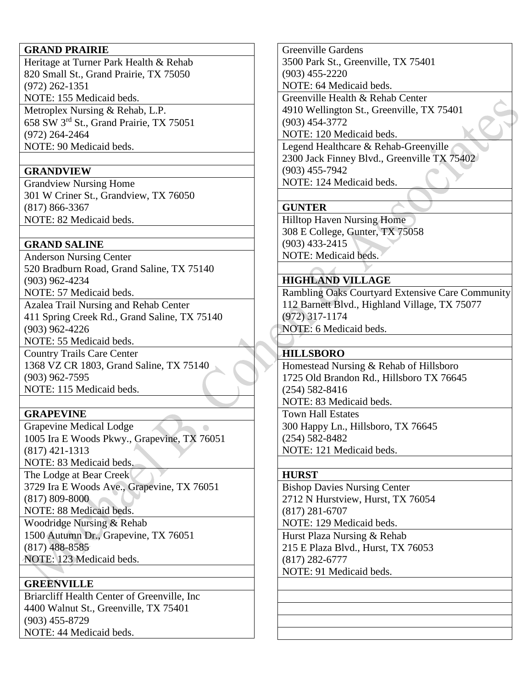### **GRAND PRAIRIE**

Heritage at Turner Park Health & Rehab 820 Small St., Grand Prairie, TX 75050 (972) 262-1351 NOTE: 155 Medicaid beds. Metroplex Nursing & Rehab, L.P. 658 SW 3rd St., Grand Prairie, TX 75051 (972) 264-2464 NOTE: 90 Medicaid beds.

### **GRANDVIEW**

Grandview Nursing Home 301 W Criner St., Grandview, TX 76050 (817) 866-3367 NOTE: 82 Medicaid beds.

### **GRAND SALINE**

Anderson Nursing Center 520 Bradburn Road, Grand Saline, TX 75140 (903) 962-4234 NOTE: 57 Medicaid beds.

Azalea Trail Nursing and Rehab Center 411 Spring Creek Rd., Grand Saline, TX 75140 (903) 962-4226 NOTE: 55 Medicaid beds.

Country Trails Care Center 1368 VZ CR 1803, Grand Saline, TX 75140 (903) 962-7595 NOTE: 115 Medicaid beds.

## **GRAPEVINE**

Grapevine Medical Lodge <u>and the second second</u> 1005 Ira E Woods Pkwy., Grapevine, TX 76051 (817) 421-1313 NOTE: 83 Medicaid beds. The Lodge at Bear Creek 3729 Ira E Woods Ave., Grapevine, TX 76051 (817) 809-8000 NOTE: 88 Medicaid beds. Woodridge Nursing & Rehab 1500 Autumn Dr., Grapevine, TX 76051

(817) 488-8585

NOTE: 123 Medicaid beds.

## **GREENVILLE**

Briarcliff Health Center of Greenville, Inc 4400 Walnut St., Greenville, TX 75401 (903) 455-8729 NOTE: 44 Medicaid beds.

Greenville Gardens 3500 Park St., Greenville, TX 75401 (903) 455-2220 NOTE: 64 Medicaid beds. Greenville Health & Rehab Center 4910 Wellington St., Greenville, TX 75401 (903) 454-3772 NOTE: 120 Medicaid beds. Legend Healthcare & Rehab-Greenville

2300 Jack Finney Blvd., Greenville TX 75402 (903) 455-7942 NOTE: 124 Medicaid beds.

## **GUNTER**

Hilltop Haven Nursing Home 308 E College, Gunter, TX 75058 (903) 433-2415 NOTE: Medicaid beds.

## **HIGHLAND VILLAGE**

Rambling Oaks Courtyard Extensive Care Community 112 Barnett Blvd., Highland Village, TX 75077 (972) 317-1174 NOTE: 6 Medicaid beds.

### **HILLSBORO**

Homestead Nursing & Rehab of Hillsboro 1725 Old Brandon Rd., Hillsboro TX 76645 (254) 582-8416 NOTE: 83 Medicaid beds. Town Hall Estates 300 Happy Ln., Hillsboro, TX 76645 (254) 582-8482 NOTE: 121 Medicaid beds.

### **HURST**

Bishop Davies Nursing Center 2712 N Hurstview, Hurst, TX 76054 (817) 281-6707 NOTE: 129 Medicaid beds. Hurst Plaza Nursing & Rehab 215 E Plaza Blvd., Hurst, TX 76053 (817) 282-6777 NOTE: 91 Medicaid beds.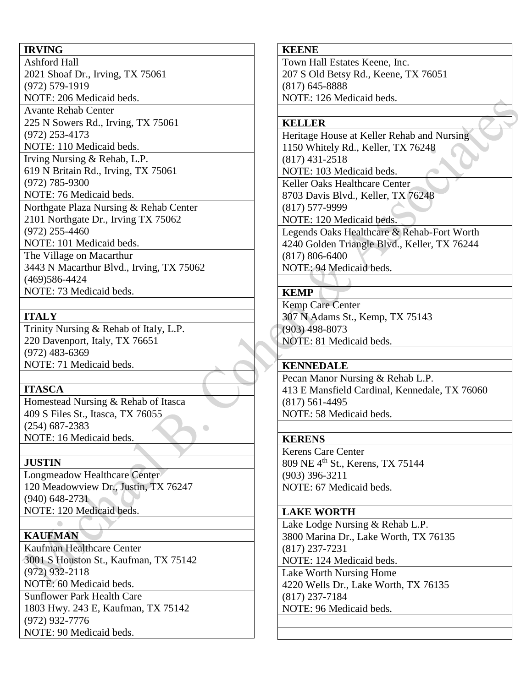# **IRVING**

Ashford Hall 2021 Shoaf Dr., Irving, TX 75061 (972) 579-1919 NOTE: 206 Medicaid beds. Avante Rehab Center

225 N Sowers Rd., Irving, TX 75061 (972) 253-4173

NOTE: 110 Medicaid beds.

Irving Nursing & Rehab, L.P. 619 N Britain Rd., Irving, TX 75061 (972) 785-9300 NOTE: 76 Medicaid beds. Northgate Plaza Nursing & Rehab Center 2101 Northgate Dr., Irving TX 75062 (972) 255-4460 NOTE: 101 Medicaid beds. The Village on Macarthur 3443 N Macarthur Blvd., Irving, TX 75062

(469)586-4424 NOTE: 73 Medicaid beds.

# **ITALY**

Trinity Nursing & Rehab of Italy, L.P. 220 Davenport, Italy, TX 76651 (972) 483-6369 NOTE: 71 Medicaid beds.

## **ITASCA**

Homestead Nursing & Rehab of Itasca 409 S Files St., Itasca, TX 76055 (254) 687-2383 NOTE: 16 Medicaid beds.

# **JUSTIN**

Longmeadow Healthcare Center 120 Meadowview Dr., Justin, TX 76247 (940) 648-2731 NOTE: 120 Medicaid beds.

# **KAUFMAN**

Kaufman Healthcare Center 3001 S Houston St., Kaufman, TX 75142 (972) 932-2118 NOTE: 60 Medicaid beds. Sunflower Park Health Care 1803 Hwy. 243 E, Kaufman, TX 75142 (972) 932-7776 NOTE: 90 Medicaid beds.

## **KEENE**

Town Hall Estates Keene, Inc. 207 S Old Betsy Rd., Keene, TX 76051 (817) 645-8888 NOTE: 126 Medicaid beds.

## **KELLER**

Heritage House at Keller Rehab and Nursing 1150 Whitely Rd., Keller, TX 76248 (817) 431-2518 NOTE: 103 Medicaid beds. Keller Oaks Healthcare Center 8703 Davis Blvd., Keller, TX 76248 (817) 577-9999 NOTE: 120 Medicaid beds. Legends Oaks Healthcare & Rehab-Fort Worth 4240 Golden Triangle Blvd., Keller, TX 76244 (817) 806-6400

NOTE: 94 Medicaid beds.

# **KEMP**

Kemp Care Center 307 N Adams St., Kemp, TX 75143 (903) 498-8073 NOTE: 81 Medicaid beds.

## **KENNEDALE**

Pecan Manor Nursing & Rehab L.P. 413 E Mansfield Cardinal, Kennedale, TX 76060 (817) 561-4495 NOTE: 58 Medicaid beds.

## **KERENS**

Kerens Care Center 809 NE 4th St., Kerens, TX 75144 (903) 396-3211 NOTE: 67 Medicaid beds.

### **LAKE WORTH**

Lake Lodge Nursing & Rehab L.P. 3800 Marina Dr., Lake Worth, TX 76135 (817) 237-7231 NOTE: 124 Medicaid beds. Lake Worth Nursing Home 4220 Wells Dr., Lake Worth, TX 76135 (817) 237-7184 NOTE: 96 Medicaid beds.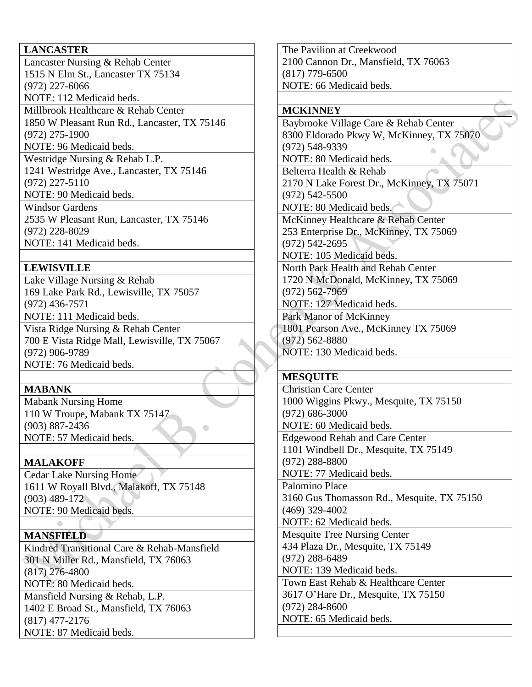### **LANCASTER**

Lancaster Nursing & Rehab Center 1515 N Elm St., Lancaster TX 75134 (972) 227-6066 NOTE: 112 Medicaid beds. Millbrook Healthcare & Rehab Center 1850 W Pleasant Run Rd., Lancaster, TX 75146 (972) 275-1900 NOTE: 96 Medicaid beds. Westridge Nursing & Rehab L.P. 1241 Westridge Ave., Lancaster, TX 75146 (972) 227-5110 NOTE: 90 Medicaid beds. Windsor Gardens 2535 W Pleasant Run, Lancaster, TX 75146

(972) 228-8029 NOTE: 141 Medicaid beds.

## **LEWISVILLE**

Lake Village Nursing & Rehab 169 Lake Park Rd., Lewisville, TX 75057 (972) 436-7571 NOTE: 111 Medicaid beds. Vista Ridge Nursing & Rehab Center 700 E Vista Ridge Mall, Lewisville, TX 75067 (972) 906-9789 NOTE: 76 Medicaid beds.

## **MABANK**

Mabank Nursing Home 110 W Troupe, Mabank TX 75147 (903) 887-2436 NOTE: 57 Medicaid beds.

# **MALAKOFF**

Cedar Lake Nursing Home 1611 W Royall Blvd., Malakoff, TX 75148 (903) 489-172 NOTE: 90 Medicaid beds.

# **MANSFIELD**

Kindred Transitional Care & Rehab-Mansfield 301 N Miller Rd., Mansfield, TX 76063 (817) 276-4800 NOTE: 80 Medicaid beds. Mansfield Nursing & Rehab, L.P. 1402 E Broad St., Mansfield, TX 76063 (817) 477-2176

NOTE: 87 Medicaid beds.

The Pavilion at Creekwood 2100 Cannon Dr., Mansfield, TX 76063 (817) 779-6500 NOTE: 66 Medicaid beds.

### **MCKINNEY**

Baybrooke Village Care & Rehab Center 8300 Eldorado Pkwy W, McKinney, TX 75070 (972) 548-9339 NOTE: 80 Medicaid beds. Belterra Health & Rehab

2170 N Lake Forest Dr., McKinney, TX 75071 (972) 542-5500

NOTE: 80 Medicaid beds.

McKinney Healthcare & Rehab Center 253 Enterprise Dr., McKinney, TX 75069 (972) 542-2695

NOTE: 105 Medicaid beds.

North Park Health and Rehab Center 1720 N McDonald, McKinney, TX 75069 (972) 562-7969 NOTE: 127 Medicaid beds.

Park Manor of McKinney

1801 Pearson Ave., McKinney TX 75069 (972) 562-8880 NOTE: 130 Medicaid beds.

## **MESQUITE**

Christian Care Center 1000 Wiggins Pkwy., Mesquite, TX 75150 (972) 686-3000 NOTE: 60 Medicaid beds. Edgewood Rehab and Care Center 1101 Windbell Dr., Mesquite, TX 75149 (972) 288-8800 NOTE: 77 Medicaid beds. Palomino Place 3160 Gus Thomasson Rd., Mesquite, TX 75150 (469) 329-4002

NOTE: 62 Medicaid beds.

Mesquite Tree Nursing Center 434 Plaza Dr., Mesquite, TX 75149 (972) 288-6489 NOTE: 139 Medicaid beds. Town East Rehab & Healthcare Center

3617 O'Hare Dr., Mesquite, TX 75150 (972) 284-8600

NOTE: 65 Medicaid beds.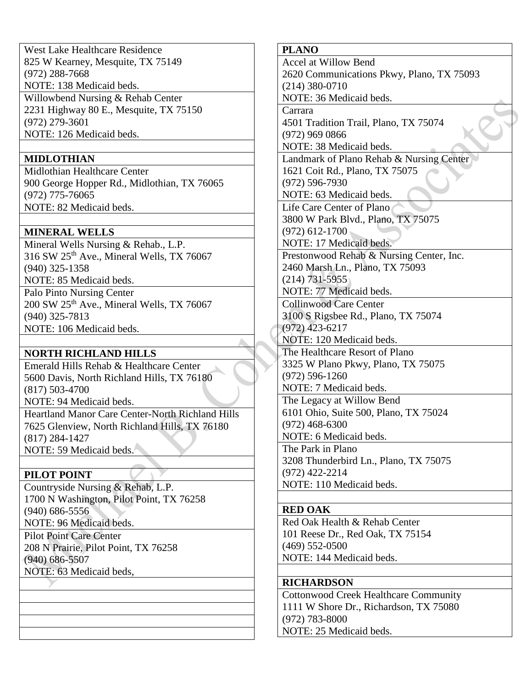West Lake Healthcare Residence 825 W Kearney, Mesquite, TX 75149 (972) 288-7668 NOTE: 138 Medicaid beds. Willowbend Nursing & Rehab Center 2231 Highway 80 E., Mesquite, TX 75150 (972) 279-3601 NOTE: 126 Medicaid beds.

## **MIDLOTHIAN**

Midlothian Healthcare Center 900 George Hopper Rd., Midlothian, TX 76065 (972) 775-76065 NOTE: 82 Medicaid beds.

## **MINERAL WELLS**

Mineral Wells Nursing & Rehab., L.P. 316 SW 25th Ave., Mineral Wells, TX 76067 (940) 325-1358 NOTE: 85 Medicaid beds.

Palo Pinto Nursing Center 200 SW 25<sup>th</sup> Ave., Mineral Wells, TX 76067 (940) 325-7813 NOTE: 106 Medicaid beds.

## **NORTH RICHLAND HILLS**

Emerald Hills Rehab & Healthcare Center 5600 Davis, North Richland Hills, TX 76180 (817) 503-4700 NOTE: 94 Medicaid beds.

Heartland Manor Care Center-North Richland Hills 7625 Glenview, North Richland Hills, TX 76180 (817) 284-1427 NOTE: 59 Medicaid beds.

## **PILOT POINT**

Countryside Nursing & Rehab, L.P. 1700 N Washington, Pilot Point, TX 76258 (940) 686-5556 NOTE: 96 Medicaid beds.

Pilot Point Care Center 208 N Prairie, Pilot Point, TX 76258 (940) 686-5507 NOTE: 63 Medicaid beds,

**PLANO** Accel at Willow Bend 2620 Communications Pkwy, Plano, TX 75093 (214) 380-0710 NOTE: 36 Medicaid beds. Carrara 4501 Tradition Trail, Plano, TX 75074 (972) 969 0866 NOTE: 38 Medicaid beds. Landmark of Plano Rehab & Nursing Center 1621 Coit Rd., Plano, TX 75075 (972) 596-7930 NOTE: 63 Medicaid beds. Life Care Center of Plano 3800 W Park Blvd., Plano, TX 75075 (972) 612-1700 NOTE: 17 Medicaid beds. Prestonwood Rehab & Nursing Center, Inc. 2460 Marsh Ln., Plano, TX 75093 (214) 731-5955 NOTE: 77 Medicaid beds. Collinwood Care Center 3100 S Rigsbee Rd., Plano, TX 75074 (972) 423-6217 NOTE: 120 Medicaid beds. The Healthcare Resort of Plano 3325 W Plano Pkwy, Plano, TX 75075 (972) 596-1260 NOTE: 7 Medicaid beds. The Legacy at Willow Bend 6101 Ohio, Suite 500, Plano, TX 75024 (972) 468-6300 NOTE: 6 Medicaid beds. The Park in Plano 3208 Thunderbird Ln., Plano, TX 75075 (972) 422-2214 NOTE: 110 Medicaid beds.

### **RED OAK**

Red Oak Health & Rehab Center 101 Reese Dr., Red Oak, TX 75154 (469) 552-0500 NOTE: 144 Medicaid beds.

### **RICHARDSON**

Cottonwood Creek Healthcare Community 1111 W Shore Dr., Richardson, TX 75080 (972) 783-8000 NOTE: 25 Medicaid beds.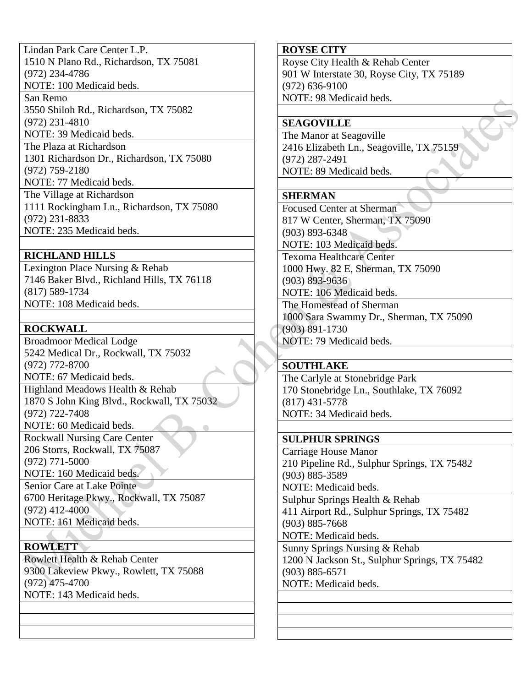Lindan Park Care Center L.P. 1510 N Plano Rd., Richardson, TX 75081 (972) 234-4786 NOTE: 100 Medicaid beds.

San Remo 3550 Shiloh Rd., Richardson, TX 75082 (972) 231-4810 NOTE: 39 Medicaid beds.

The Plaza at Richardson 1301 Richardson Dr., Richardson, TX 75080 (972) 759-2180

NOTE: 77 Medicaid beds.

The Village at Richardson 1111 Rockingham Ln., Richardson, TX 75080 (972) 231-8833 NOTE: 235 Medicaid beds.

# **RICHLAND HILLS**

Lexington Place Nursing & Rehab 7146 Baker Blvd., Richland Hills, TX 76118 (817) 589-1734 NOTE: 108 Medicaid beds.

# **ROCKWALL**

Broadmoor Medical Lodge 5242 Medical Dr., Rockwall, TX 75032 (972) 772-8700 NOTE: 67 Medicaid beds. Highland Meadows Health & Rehab

1870 S John King Blvd., Rockwall, TX 75032 (972) 722-7408 NOTE: 60 Medicaid beds.

Rockwall Nursing Care Center 206 Storrs, Rockwall, TX 75087 (972) 771-5000

NOTE: 160 Medicaid beds.

Senior Care at Lake Pointe 6700 Heritage Pkwy., Rockwall, TX 75087 (972) 412-4000 NOTE: 161 Medicaid beds.

**ROWLETT** Rowlett Health & Rehab Center 9300 Lakeview Pkwy., Rowlett, TX 75088 (972) 475-4700 NOTE: 143 Medicaid beds.

## **ROYSE CITY**

Royse City Health & Rehab Center 901 W Interstate 30, Royse City, TX 75189 (972) 636-9100 NOTE: 98 Medicaid beds.

## **SEAGOVILLE**

The Manor at Seagoville 2416 Elizabeth Ln., Seagoville, TX 75159 (972) 287-2491 NOTE: 89 Medicaid beds.

# **SHERMAN**

Focused Center at Sherman 817 W Center, Sherman, TX 75090 (903) 893-6348 NOTE: 103 Medicaid beds. Texoma Healthcare Center 1000 Hwy. 82 E, Sherman, TX 75090 (903) 893-9636 NOTE: 106 Medicaid beds. The Homestead of Sherman 1000 Sara Swammy Dr., Sherman, TX 75090 (903) 891-1730 NOTE: 79 Medicaid beds.

## **SOUTHLAKE**

The Carlyle at Stonebridge Park 170 Stonebridge Ln., Southlake, TX 76092 (817) 431-5778 NOTE: 34 Medicaid beds.

## **SULPHUR SPRINGS**

Carriage House Manor 210 Pipeline Rd., Sulphur Springs, TX 75482 (903) 885-3589 NOTE: Medicaid beds. Sulphur Springs Health & Rehab 411 Airport Rd., Sulphur Springs, TX 75482 (903) 885-7668 NOTE: Medicaid beds. Sunny Springs Nursing & Rehab 1200 N Jackson St., Sulphur Springs, TX 75482 (903) 885-6571 NOTE: Medicaid beds.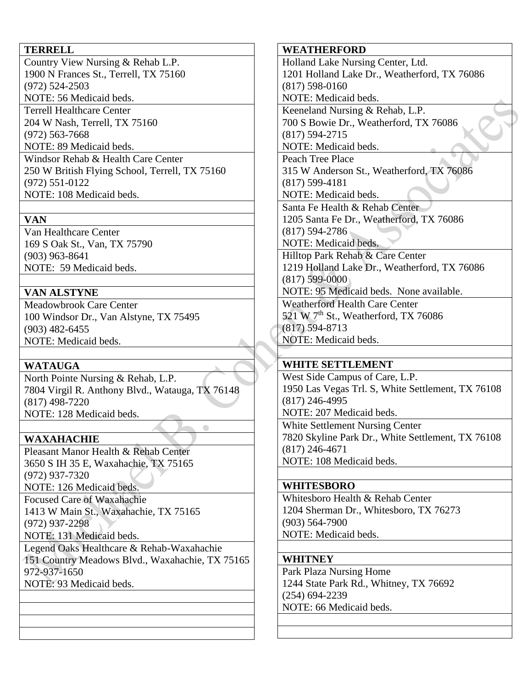### **TERRELL**

Country View Nursing & Rehab L.P. 1900 N Frances St., Terrell, TX 75160 (972) 524-2503 NOTE: 56 Medicaid beds.

Terrell Healthcare Center 204 W Nash, Terrell, TX 75160 (972) 563-7668

NOTE: 89 Medicaid beds.

Windsor Rehab & Health Care Center 250 W British Flying School, Terrell, TX 75160 (972) 551-0122 NOTE: 108 Medicaid beds.

## **VAN**

Van Healthcare Center 169 S Oak St., Van, TX 75790 (903) 963-8641 NOTE: 59 Medicaid beds.

## **VAN ALSTYNE**

Meadowbrook Care Center 100 Windsor Dr., Van Alstyne, TX 75495 (903) 482-6455 NOTE: Medicaid beds.

## **WATAUGA**

North Pointe Nursing & Rehab, L.P. 7804 Virgil R. Anthony Blvd., Watauga, TX 76148 (817) 498-7220 NOTE: 128 Medicaid beds.

 $\bullet$ 

## **WAXAHACHIE**

Pleasant Manor Health & Rehab Center 3650 S IH 35 E, Waxahachie, TX 75165 (972) 937-7320 NOTE: 126 Medicaid beds. Focused Care of Waxahachie 1413 W Main St., Waxahachie, TX 75165 (972) 937-2298

NOTE: 131 Medicaid beds.

Legend Oaks Healthcare & Rehab-Waxahachie 151 Country Meadows Blvd., Waxahachie, TX 75165 972-937-1650 NOTE: 93 Medicaid beds.

### **WEATHERFORD**

Holland Lake Nursing Center, Ltd. 1201 Holland Lake Dr., Weatherford, TX 76086 (817) 598-0160 NOTE: Medicaid beds. Keeneland Nursing & Rehab, L.P. 700 S Bowie Dr., Weatherford, TX 76086 (817) 594-2715 NOTE: Medicaid beds. Peach Tree Place 315 W Anderson St., Weatherford, TX 76086 (817) 599-4181 NOTE: Medicaid beds. Santa Fe Health & Rehab Center 1205 Santa Fe Dr., Weatherford, TX 76086 (817) 594-2786 NOTE: Medicaid beds. Hilltop Park Rehab & Care Center 1219 Holland Lake Dr., Weatherford, TX 76086 (817) 599-0000 NOTE: 95 Medicaid beds. None available. Weatherford Health Care Center 521 W  $7<sup>th</sup>$  St., Weatherford, TX 76086 (817) 594-8713 NOTE: Medicaid beds. **WHITE SETTLEMENT** West Side Campus of Care, L.P. 1950 Las Vegas Trl. S, White Settlement, TX 76108 (817) 246-4995

NOTE: 207 Medicaid beds. White Settlement Nursing Center 7820 Skyline Park Dr., White Settlement, TX 76108 (817) 246-4671 NOTE: 108 Medicaid beds.

### **WHITESBORO**

Whitesboro Health & Rehab Center 1204 Sherman Dr., Whitesboro, TX 76273 (903) 564-7900 NOTE: Medicaid beds.

### **WHITNEY**

Park Plaza Nursing Home 1244 State Park Rd., Whitney, TX 76692 (254) 694-2239 NOTE: 66 Medicaid beds.